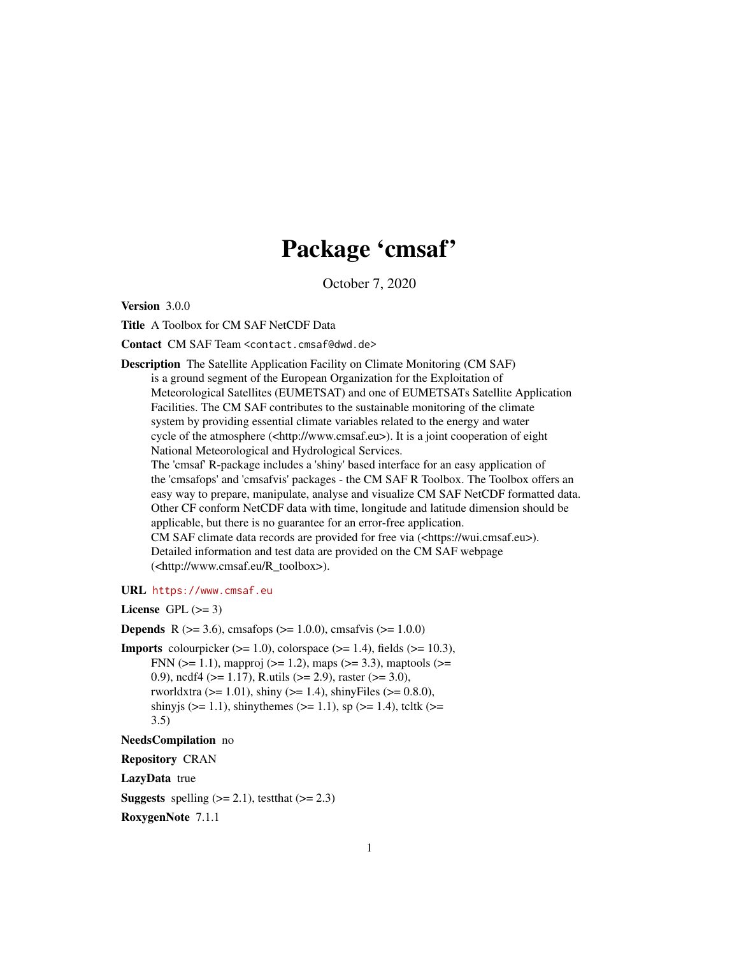## Package 'cmsaf'

October 7, 2020

<span id="page-0-0"></span>Version 3.0.0

Title A Toolbox for CM SAF NetCDF Data

Contact CM SAF Team <contact.cmsaf@dwd.de>

Description The Satellite Application Facility on Climate Monitoring (CM SAF) is a ground segment of the European Organization for the Exploitation of Meteorological Satellites (EUMETSAT) and one of EUMETSATs Satellite Application Facilities. The CM SAF contributes to the sustainable monitoring of the climate system by providing essential climate variables related to the energy and water cycle of the atmosphere (<http://www.cmsaf.eu>). It is a joint cooperation of eight National Meteorological and Hydrological Services.

The 'cmsaf' R-package includes a 'shiny' based interface for an easy application of the 'cmsafops' and 'cmsafvis' packages - the CM SAF R Toolbox. The Toolbox offers an easy way to prepare, manipulate, analyse and visualize CM SAF NetCDF formatted data. Other CF conform NetCDF data with time, longitude and latitude dimension should be applicable, but there is no guarantee for an error-free application. CM SAF climate data records are provided for free via (<https://wui.cmsaf.eu>). Detailed information and test data are provided on the CM SAF webpage

URL <https://www.cmsaf.eu>

License GPL  $(>= 3)$ 

**Depends** R ( $>= 3.6$ ), cmsafops ( $>= 1.0.0$ ), cmsafvis ( $>= 1.0.0$ )

(<http://www.cmsaf.eu/R\_toolbox>).

**Imports** colourpicker  $(>= 1.0)$ , colorspace  $(>= 1.4)$ , fields  $(>= 10.3)$ , FNN ( $>= 1.1$ ), mapproj ( $>= 1.2$ ), maps ( $>= 3.3$ ), maptools ( $>= 1.2$ ) 0.9), ncdf4 ( $>= 1.17$ ), R.utils ( $>= 2.9$ ), raster ( $>= 3.0$ ), rworldxtra ( $>= 1.01$ ), shiny ( $>= 1.4$ ), shinyFiles ( $>= 0.8.0$ ), shinyjs ( $>= 1.1$ ), shinythemes ( $>= 1.1$ ), sp ( $>= 1.4$ ), tcltk ( $>= 1.4$ ) 3.5)

NeedsCompilation no

Repository CRAN

LazyData true

**Suggests** spelling  $(>= 2.1)$ , test that  $(>= 2.3)$ 

RoxygenNote 7.1.1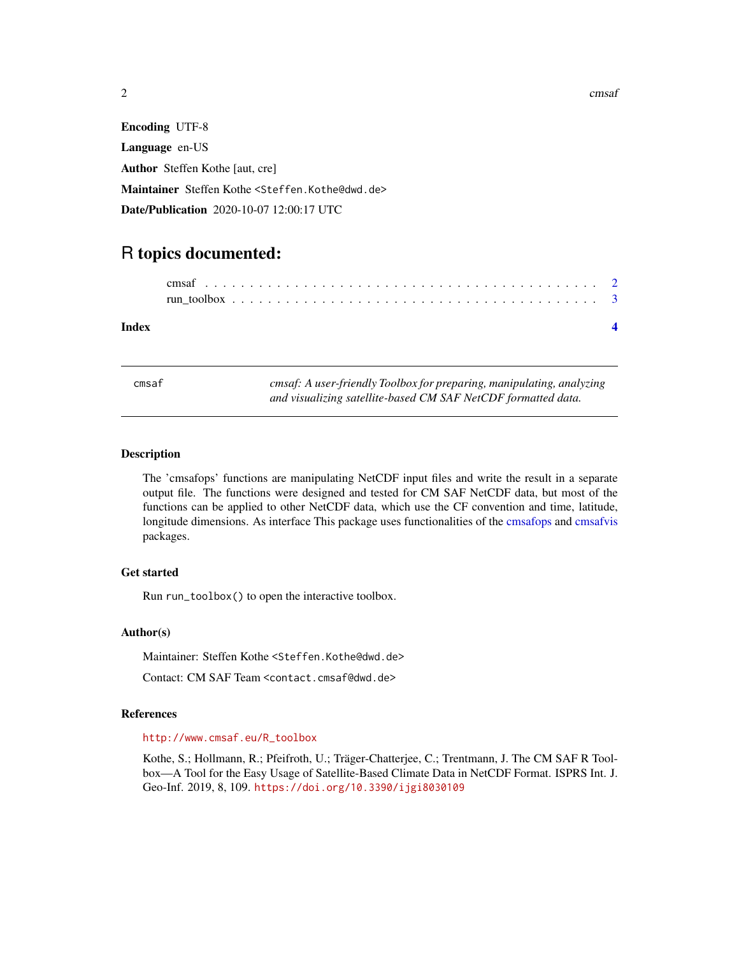2 cmsaf

Encoding UTF-8 Language en-US Author Steffen Kothe [aut, cre] Maintainer Steffen Kothe <Steffen.Kothe@dwd.de> Date/Publication 2020-10-07 12:00:17 UTC

### R topics documented:

#### **Index** [4](#page-3-0)

cmsaf *cmsaf: A user-friendly Toolbox for preparing, manipulating, analyzing and visualizing satellite-based CM SAF NetCDF formatted data.*

#### Description

The 'cmsafops' functions are manipulating NetCDF input files and write the result in a separate output file. The functions were designed and tested for CM SAF NetCDF data, but most of the functions can be applied to other NetCDF data, which use the CF convention and time, latitude, longitude dimensions. As interface This package uses functionalities of the [cmsafops](#page-0-0) and [cmsafvis](#page-0-0) packages.

#### Get started

Run run\_toolbox() to open the interactive toolbox.

#### Author(s)

Maintainer: Steffen Kothe <Steffen.Kothe@dwd.de>

Contact: CM SAF Team <contact.cmsaf@dwd.de>

#### References

#### [http://www.cmsaf.eu/R\\_toolbox](http://www.cmsaf.eu/R_toolbox)

Kothe, S.; Hollmann, R.; Pfeifroth, U.; Träger-Chatterjee, C.; Trentmann, J. The CM SAF R Toolbox—A Tool for the Easy Usage of Satellite-Based Climate Data in NetCDF Format. ISPRS Int. J. Geo-Inf. 2019, 8, 109. <https://doi.org/10.3390/ijgi8030109>

<span id="page-1-0"></span>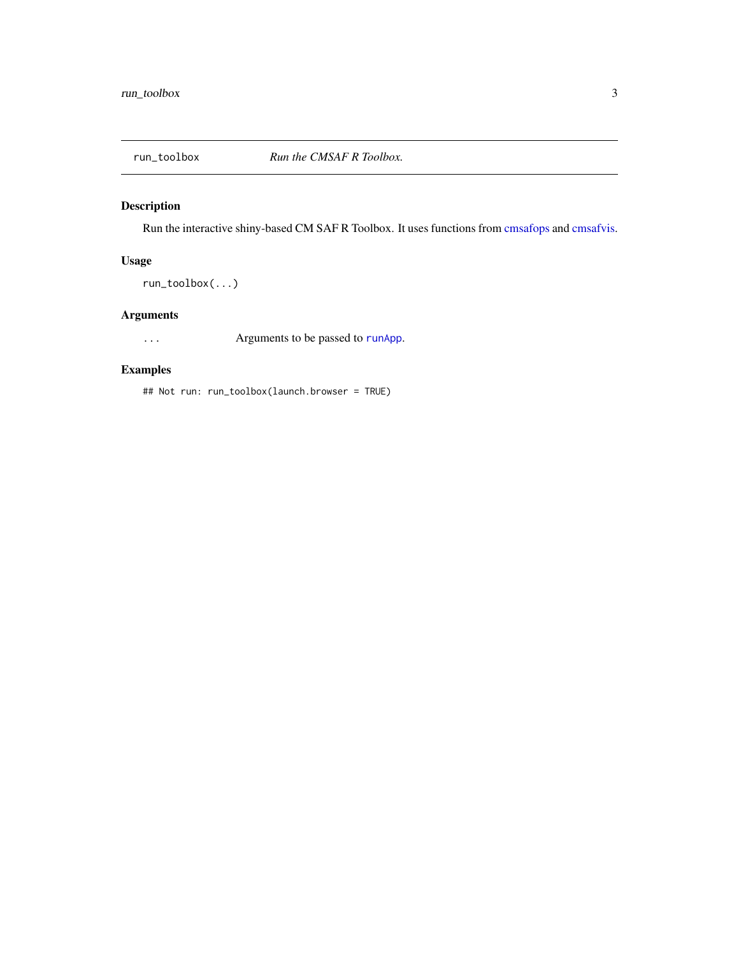<span id="page-2-0"></span>

#### Description

Run the interactive shiny-based CM SAF R Toolbox. It uses functions from [cmsafops](#page-0-0) and [cmsafvis.](#page-0-0)

#### Usage

run\_toolbox(...)

#### Arguments

... Arguments to be passed to [runApp](#page-0-0).

#### Examples

## Not run: run\_toolbox(launch.browser = TRUE)